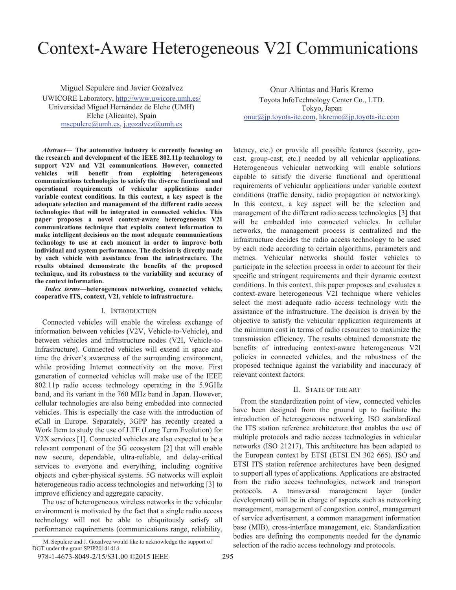# Context-Aware Heterogeneous V2I Communications

Miguel Sepulcre and Javier Gozalvez UWICORE Laboratory, http://www.uwicore.umh.es/ Universidad Miguel Hernández de Elche (UMH) Elche (Alicante), Spain msepulcre@umh.es, j.gozalvez@umh.es

*Abstract***— The automotive industry is currently focusing on the research and development of the IEEE 802.11p technology to support V2V and V2I communications. However, connected vehicles will benefit from exploiting heterogeneous communications technologies to satisfy the diverse functional and operational requirements of vehicular applications under variable context conditions. In this context, a key aspect is the adequate selection and management of the different radio access technologies that will be integrated in connected vehicles. This paper proposes a novel context-aware heterogeneous V2I communications technique that exploits context information to make intelligent decisions on the most adequate communications technology to use at each moment in order to improve both individual and system performance. The decision is directly made by each vehicle with assistance from the infrastructure. The results obtained demonstrate the benefits of the proposed technique, and its robustness to the variability and accuracy of the context information.**

*Index terms—***heterogeneous networking, connected vehicle, cooperative ITS, context, V2I, vehicle to infrastructure.**

### I. INTRODUCTION

Connected vehicles will enable the wireless exchange of information between vehicles (V2V, Vehicle-to-Vehicle), and between vehicles and infrastructure nodes (V2I, Vehicle-to-Infrastructure). Connected vehicles will extend in space and time the driver's awareness of the surrounding environment, while providing Internet connectivity on the move. First generation of connected vehicles will make use of the IEEE 802.11p radio access technology operating in the 5.9GHz band, and its variant in the 760 MHz band in Japan. However, cellular technologies are also being embedded into connected vehicles. This is especially the case with the introduction of eCall in Europe. Separately, 3GPP has recently created a Work Item to study the use of LTE (Long Term Evolution) for V2X services [1]. Connected vehicles are also expected to be a relevant component of the 5G ecosystem [2] that will enable new secure, dependable, ultra-reliable, and delay-critical services to everyone and everything, including cognitive objects and cyber-physical systems. 5G networks will exploit heterogeneous radio access technologies and networking [3] to improve efficiency and aggregate capacity.

The use of heterogeneous wireless networks in the vehicular environment is motivated by the fact that a single radio access technology will not be able to ubiquitously satisfy all performance requirements (communications range, reliability,

Onur Altintas and Haris Kremo Toyota InfoTechnology Center Co., LTD. Tokyo, Japan onur@jp.toyota-itc.com, hkremo@jp.toyota-itc.com

latency, etc.) or provide all possible features (security, geocast, group-cast, etc.) needed by all vehicular applications. Heterogeneous vehicular networking will enable solutions capable to satisfy the diverse functional and operational requirements of vehicular applications under variable context conditions (traffic density, radio propagation or networking). In this context, a key aspect will be the selection and management of the different radio access technologies [3] that will be embedded into connected vehicles. In cellular networks, the management process is centralized and the infrastructure decides the radio access technology to be used by each node according to certain algorithms, parameters and metrics. Vehicular networks should foster vehicles to participate in the selection process in order to account for their specific and stringent requirements and their dynamic context conditions. In this context, this paper proposes and evaluates a context-aware heterogeneous V2I technique where vehicles select the most adequate radio access technology with the assistance of the infrastructure. The decision is driven by the objective to satisfy the vehicular application requirements at the minimum cost in terms of radio resources to maximize the transmission efficiency. The results obtained demonstrate the benefits of introducing context-aware heterogeneous V2I policies in connected vehicles, and the robustness of the proposed technique against the variability and inaccuracy of relevant context factors.

## II. STATE OF THE ART

From the standardization point of view, connected vehicles have been designed from the ground up to facilitate the introduction of heterogeneous networking. ISO standardized the ITS station reference architecture that enables the use of multiple protocols and radio access technologies in vehicular networks (ISO 21217). This architecture has been adapted to the European context by ETSI (ETSI EN 302 665). ISO and ETSI ITS station reference architectures have been designed to support all types of applications. Applications are abstracted from the radio access technologies, network and transport protocols. A transversal management layer (under development) will be in charge of aspects such as networking management, management of congestion control, management of service advertisement, a common management information base (MIB), cross-interface management, etc. Standardization bodies are defining the components needed for the dynamic M. Sepulcre and J. Gozalvez would like to acknowledge the support of selection of the radio access technology and protocols.

DGT under the grant SPIP20141414.

<sup>978-1-4673-8049-2/15/\$31.00 ©2015</sup> IEEE 295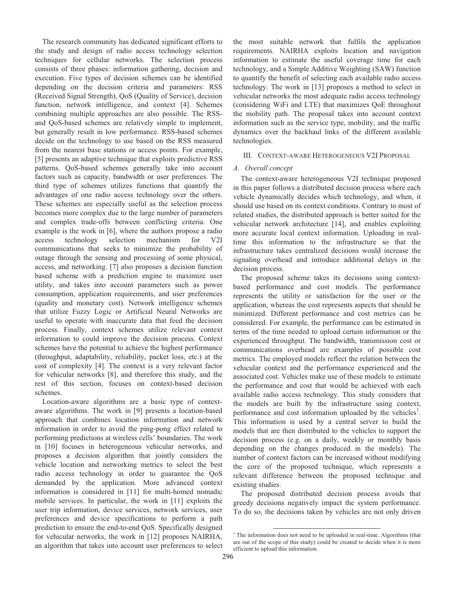The research community has dedicated significant efforts to the study and design of radio access technology selection techniques for cellular networks. The selection process consists of three phases: information gathering, decision and execution. Five types of decision schemes can be identified depending on the decision criteria and parameters: RSS (Received Signal Strength), QoS (Quality of Service), decision function, network intelligence, and context [4]. Schemes combining multiple approaches are also possible. The RSSand QoS-based schemes are relatively simple to implement, but generally result in low performance. RSS-based schemes decide on the technology to use based on the RSS measured from the nearest base stations or access points. For example, [5] presents an adaptive technique that exploits predictive RSS patterns. QoS-based schemes generally take into account factors such as capacity, bandwidth or user preferences. The third type of schemes utilizes functions that quantify the advantages of one radio access technology over the others. These schemes are especially useful as the selection process becomes more complex due to the large number of parameters and complex trade-offs between conflicting criteria. One example is the work in [6], where the authors propose a radio access technology selection mechanism for V2I communications that seeks to minimize the probability of outage through the sensing and processing of some physical, access, and networking. [7] also proposes a decision function based scheme with a prediction engine to maximize user utility, and takes into account parameters such as power consumption, application requirements, and user preferences (quality and monetary cost). Network intelligence schemes that utilize Fuzzy Logic or Artificial Neural Networks are useful to operate with inaccurate data that feed the decision process. Finally, context schemes utilize relevant context information to could improve the decision process. Context schemes have the potential to achieve the highest performance (throughput, adaptability, reliability, packet loss, etc.) at the cost of complexity [4]. The context is a very relevant factor for vehicular networks [8], and therefore this study, and the rest of this section, focuses on context-based decision schemes.

Location-aware algorithms are a basic type of contextaware algorithms. The work in [9] presents a location-based approach that combines location information and network information in order to avoid the ping-pong effect related to performing predictions at wireless cells' boundaries. The work in [10] focuses in heterogeneous vehicular networks, and proposes a decision algorithm that jointly considers the vehicle location and networking metrics to select the best radio access technology in order to guarantee the QoS demanded by the application. More advanced context information is considered in [11] for multi-homed nomadic mobile services. In particular, the work in [11] exploits the user trip information, device services, network services, user preferences and device specifications to perform a path prediction to ensure the end-to-end QoS. Specifically designed for vehicular networks, the work in [12] proposes NAIRHA, an algorithm that takes into account user preferences to select the most suitable network that fulfils the application requirements. NAIRHA exploits location and navigation information to estimate the useful coverage time for each technology, and a Simple Additive Weighting (SAW) function to quantify the benefit of selecting each available radio access technology. The work in [13] proposes a method to select in vehicular networks the most adequate radio access technology (considering WiFi and LTE) that maximizes QoE throughout the mobility path. The proposal takes into account context information such as the service type, mobility, and the traffic dynamics over the backhaul links of the different available technologies.

## III. CONTEXT-AWARE HETEROGENEOUS V2I PROPOSAL

## *A. Overall concept*

The context-aware heterogeneous V2I technique proposed in this paper follows a distributed decision process where each vehicle dynamically decides which technology, and when, it should use based on its context conditions. Contrary to most of related studies, the distributed approach is better suited for the vehicular network architecture [14], and enables exploiting more accurate local context information. Uploading in realtime this information to the infrastructure so that the infrastructure takes centralized decisions would increase the signaling overhead and introduce additional delays in the decision process.

The proposed scheme takes its decisions using contextbased performance and cost models. The performance represents the utility or satisfaction for the user or the application, whereas the cost represents aspects that should be minimized. Different performance and cost metrics can be considered. For example, the performance can be estimated in terms of the time needed to upload certain information or the experienced throughput. The bandwidth, transmission cost or communications overhead are examples of possible cost metrics. The employed models reflect the relation between the vehicular context and the performance experienced and the associated cost. Vehicles make use of these models to estimate the performance and cost that would be achieved with each available radio access technology. This study considers that the models are built by the infrastructure using context, performance and cost information uploaded by the vehicles<sup>1</sup>. This information is used by a central server to build the models that are then distributed to the vehicles to support the decision process (e.g. on a daily, weekly or monthly basis depending on the changes produced in the models). The number of context factors can be increased without modifying the core of the proposed technique, which represents a relevant difference between the proposed technique and existing studies.

The proposed distributed decision process avoids that greedy decisions negatively impact the system performance. To do so, the decisions taken by vehicles are not only driven

 $\overline{a}$ 

<sup>&</sup>lt;sup>1</sup> The information does not need to be uploaded in real-time. Algorithms (that are out of the scope of this study) could be created to decide when it is more efficient to upload this information.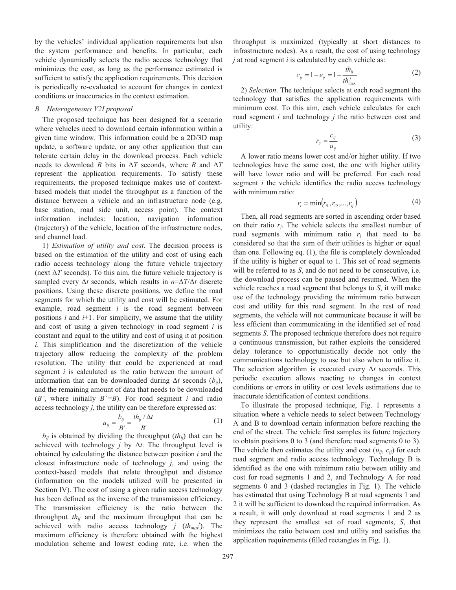by the vehicles' individual application requirements but also the system performance and benefits. In particular, each vehicle dynamically selects the radio access technology that minimizes the cost, as long as the performance estimated is sufficient to satisfy the application requirements. This decision is periodically re-evaluated to account for changes in context conditions or inaccuracies in the context estimation.

## *B. Heterogeneous V2I proposal*

The proposed technique has been designed for a scenario where vehicles need to download certain information within a given time window. This information could be a 2D/3D map update, a software update, or any other application that can tolerate certain delay in the download process. Each vehicle needs to download *B* bits in  $\Delta T$  seconds, where *B* and  $\Delta T$ represent the application requirements. To satisfy these requirements, the proposed technique makes use of contextbased models that model the throughput as a function of the distance between a vehicle and an infrastructure node (e.g. base station, road side unit, access point). The context information includes: location, navigation information (trajectory) of the vehicle, location of the infrastructure nodes, and channel load.

1) *Estimation of utility and cost*. The decision process is based on the estimation of the utility and cost of using each radio access technology along the future vehicle trajectory (next  $\Delta T$  seconds). To this aim, the future vehicle trajectory is sampled every  $\Delta t$  seconds, which results in  $n = \Delta T / \Delta t$  discrete positions. Using these discrete positions, we define the road segments for which the utility and cost will be estimated. For example, road segment *i* is the road segment between positions *i* and *i*+1. For simplicity, we assume that the utility and cost of using a given technology in road segment *i* is constant and equal to the utility and cost of using it at position *i*. This simplification and the discretization of the vehicle trajectory allow reducing the complexity of the problem resolution. The utility that could be experienced at road segment *i* is calculated as the ratio between the amount of information that can be downloaded during  $\Delta t$  seconds  $(b_{ij})$ , and the remaining amount of data that needs to be downloaded (*B'*, where initially *B'=B*). For road segment *i* and radio access technology *j*, the utility can be therefore expressed as:

$$
u_{ij} = \frac{b_{ij}}{B'} = \frac{th_{ij}/\Delta t}{B'}
$$
 (1)

 $b_{ij}$  is obtained by dividing the throughput  $(th_{ij})$  that can be achieved with technology  $j$  by  $\Delta t$ . The throughput level is obtained by calculating the distance between position *i* and the closest infrastructure node of technology *j*, and using the context-based models that relate throughput and distance (information on the models utilized will be presented in Section IV). The cost of using a given radio access technology has been defined as the inverse of the transmission efficiency. The transmission efficiency is the ratio between the throughput *thij* and the maximum throughput that can be achieved with radio access technology *j*  $(th_{max}^j)$ . The maximum efficiency is therefore obtained with the highest modulation scheme and lowest coding rate, i.e. when the

throughput is maximized (typically at short distances to infrastructure nodes). As a result, the cost of using technology *j* at road segment *i* is calculated by each vehicle as:

$$
c_{ij} = 1 - e_{ij} = 1 - \frac{th_{ij}}{th_{\text{max}}^j}
$$
 (2)

2) *Selection*. The technique selects at each road segment the technology that satisfies the application requirements with minimum cost. To this aim, each vehicle calculates for each road segment *i* and technology *j* the ratio between cost and utility:

$$
r_{ij} = \frac{c_{ij}}{u_{ij}}\tag{3}
$$

A lower ratio means lower cost and/or higher utility. If two technologies have the same cost, the one with higher utility will have lower ratio and will be preferred. For each road segment *i* the vehicle identifies the radio access technology with minimum ratio:

$$
r_i = \min(r_{i1}, r_{i2}, \dots, r_{ij})
$$
 (4)

Then, all road segments are sorted in ascending order based on their ratio *r<sup>i</sup>* . The vehicle selects the smallest number of road segments with minimum ratio  $r_i$  that need to be considered so that the sum of their utilities is higher or equal than one. Following eq. (1), the file is completely downloaded if the utility is higher or equal to 1. This set of road segments will be referred to as *S*, and do not need to be consecutive, i.e. the download process can be paused and resumed. When the vehicle reaches a road segment that belongs to *S*, it will make use of the technology providing the minimum ratio between cost and utility for this road segment. In the rest of road segments, the vehicle will not communicate because it will be less efficient than communicating in the identified set of road segments *S*. The proposed technique therefore does not require a continuous transmission, but rather exploits the considered delay tolerance to opportunistically decide not only the communications technology to use but also when to utilize it. The selection algorithm is executed every  $\Delta t$  seconds. This periodic execution allows reacting to changes in context conditions or errors in utility or cost levels estimations due to inaccurate identification of context conditions.

To illustrate the proposed technique, Fig. 1 represents a situation where a vehicle needs to select between Technology A and B to download certain information before reaching the end of the street. The vehicle first samples its future trajectory to obtain positions 0 to 3 (and therefore road segments 0 to 3). The vehicle then estimates the utility and cost  $(u_{ii}, c_{ii})$  for each road segment and radio access technology. Technology B is identified as the one with minimum ratio between utility and cost for road segments 1 and 2, and Technology A for road segments 0 and 3 (dashed rectangles in Fig. 1). The vehicle has estimated that using Technology B at road segments 1 and 2 it will be sufficient to download the required information. As a result, it will only download at road segments 1 and 2 as they represent the smallest set of road segments, *S*, that minimizes the ratio between cost and utility and satisfies the application requirements (filled rectangles in Fig. 1).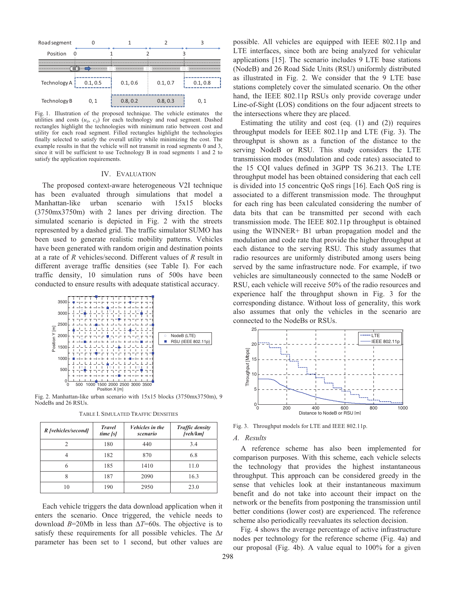

Fig. 1. Illustration of the proposed technique. The vehicle estimates the utilities and costs  $(u_{ij}, c_{ij})$  for each technology and road segment. Dashed rectangles highlight the technologies with minimum ratio between cost and utility for each road segment. Filled rectangles highlight the technologies finally selected to satisfy the overall utility while minimizing the cost. The example results in that the vehicle will not transmit in road segments 0 and 3, since it will be sufficient to use Technology B in road segments 1 and 2 to satisfy the application requirements.

#### IV. EVALUATION

The proposed context-aware heterogeneous V2I technique has been evaluated through simulations that model a Manhattan-like urban scenario with 15x15 blocks (3750mx3750m) with 2 lanes per driving direction. The simulated scenario is depicted in Fig. 2 with the streets represented by a dashed grid. The traffic simulator SUMO has been used to generate realistic mobility patterns. Vehicles have been generated with random origin and destination points at a rate of *R* vehicles/second. Different values of *R* result in different average traffic densities (see Table I). For each traffic density, 10 simulation runs of 500s have been conducted to ensure results with adequate statistical accuracy.



Fig. 2. Manhattan-like urban scenario with 15x15 blocks (3750mx3750m), 9 NodeBs and 26 RSUs.

| R [vehicles/second] | <b>Travel</b><br>time/s | Vehicles in the<br>scenario | <b>Traffic density</b><br>[veh/km] |
|---------------------|-------------------------|-----------------------------|------------------------------------|
| 2                   | 180                     | 440                         | 3.4                                |
|                     | 182                     | 870                         | 6.8                                |
| 6                   | 185                     | 1410                        | 11.0                               |
| 8                   | 187                     | 2090                        | 16.3                               |
| 10                  | 190                     | 2950                        | 23.0                               |

TABLE I. SIMULATED TRAFFIC DENSITIES

Each vehicle triggers the data download application when it enters the scenario. Once triggered, the vehicle needs to download  $B=20Mb$  in less than  $\Delta T=60s$ . The objective is to satisfy these requirements for all possible vehicles. The  $\Delta t$ parameter has been set to 1 second, but other values are possible. All vehicles are equipped with IEEE 802.11p and LTE interfaces, since both are being analyzed for vehicular applications [15]. The scenario includes 9 LTE base stations (NodeB) and 26 Road Side Units (RSU) uniformly distributed as illustrated in Fig. 2. We consider that the 9 LTE base stations completely cover the simulated scenario. On the other hand, the IEEE 802.11p RSUs only provide coverage under Line-of-Sight (LOS) conditions on the four adjacent streets to the intersections where they are placed.

Estimating the utility and cost (eq. (1) and (2)) requires throughput models for IEEE 802.11p and LTE (Fig. 3). The throughput is shown as a function of the distance to the serving NodeB or RSU. This study considers the LTE transmission modes (modulation and code rates) associated to the 15 CQI values defined in 3GPP TS 36.213. The LTE throughput model has been obtained considering that each cell is divided into 15 concentric QoS rings [16]. Each QoS ring is associated to a different transmission mode. The throughput for each ring has been calculated considering the number of data bits that can be transmitted per second with each transmission mode. The IEEE 802.11p throughput is obtained using the WINNER+ B1 urban propagation model and the modulation and code rate that provide the higher throughput at each distance to the serving RSU. This study assumes that radio resources are uniformly distributed among users being served by the same infrastructure node. For example, if two vehicles are simultaneously connected to the same NodeB or RSU, each vehicle will receive 50% of the radio resources and experience half the throughput shown in Fig. 3 for the corresponding distance. Without loss of generality, this work also assumes that only the vehicles in the scenario are connected to the NodeBs or RSUs.



Fig. 3. Throughput models for LTE and IEEE 802.11p.

#### *A. Results*

A reference scheme has also been implemented for comparison purposes. With this scheme, each vehicle selects the technology that provides the highest instantaneous throughput. This approach can be considered greedy in the sense that vehicles look at their instantaneous maximum benefit and do not take into account their impact on the network or the benefits from postponing the transmission until better conditions (lower cost) are experienced. The reference scheme also periodically reevaluates its selection decision.

Fig. 4 shows the average percentage of active infrastructure nodes per technology for the reference scheme (Fig. 4a) and our proposal (Fig. 4b). A value equal to 100% for a given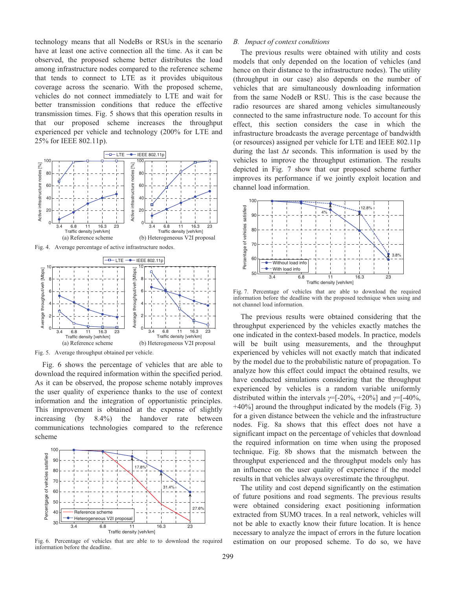technology means that all NodeBs or RSUs in the scenario have at least one active connection all the time. As it can be observed, the proposed scheme better distributes the load among infrastructure nodes compared to the reference scheme that tends to connect to LTE as it provides ubiquitous coverage across the scenario. With the proposed scheme, vehicles do not connect immediately to LTE and wait for better transmission conditions that reduce the effective transmission times. Fig. 5 shows that this operation results in that our proposed scheme increases the throughput experienced per vehicle and technology (200% for LTE and 25% for IEEE 802.11p).



Fig. 4. Average percentage of active infrastructure nodes.



Fig. 5. Average throughput obtained per vehicle.

Fig. 6 shows the percentage of vehicles that are able to download the required information within the specified period. As it can be observed, the propose scheme notably improves the user quality of experience thanks to the use of context information and the integration of opportunistic principles. This improvement is obtained at the expense of slightly increasing (by 8.4%) the handover rate between communications technologies compared to the reference scheme



Fig. 6. Percentage of vehicles that are able to to download the required information before the deadline.

## *B. Impact of context conditions*

The previous results were obtained with utility and costs models that only depended on the location of vehicles (and hence on their distance to the infrastructure nodes). The utility (throughput in our case) also depends on the number of vehicles that are simultaneously downloading information from the same NodeB or RSU. This is the case because the radio resources are shared among vehicles simultaneously connected to the same infrastructure node. To account for this effect, this section considers the case in which the infrastructure broadcasts the average percentage of bandwidth (or resources) assigned per vehicle for LTE and IEEE 802.11p during the last  $\Delta t$  seconds. This information is used by the vehicles to improve the throughput estimation. The results depicted in Fig. 7 show that our proposed scheme further improves its performance if we jointly exploit location and channel load information.



Fig. 7. Percentage of vehicles that are able to download the required information before the deadline with the proposed technique when using and not channel load information.

The previous results were obtained considering that the throughput experienced by the vehicles exactly matches the one indicated in the context-based models. In practice, models will be built using measurements, and the throughput experienced by vehicles will not exactly match that indicated by the model due to the probabilistic nature of propagation. To analyze how this effect could impact the obtained results, we have conducted simulations considering that the throughput experienced by vehicles is a random variable uniformly distributed within the intervals  $y=[-20\%, +20\%]$  and  $y=[-40\%,$ +40%] around the throughput indicated by the models (Fig. 3) for a given distance between the vehicle and the infrastructure nodes. Fig. 8a shows that this effect does not have a significant impact on the percentage of vehicles that download the required information on time when using the proposed technique. Fig. 8b shows that the mismatch between the throughput experienced and the throughput models only has an influence on the user quality of experience if the model results in that vehicles always overestimate the throughput.

The utility and cost depend significantly on the estimation of future positions and road segments. The previous results were obtained considering exact positioning information extracted from SUMO traces. In a real network, vehicles will not be able to exactly know their future location. It is hence necessary to analyze the impact of errors in the future location estimation on our proposed scheme. To do so, we have